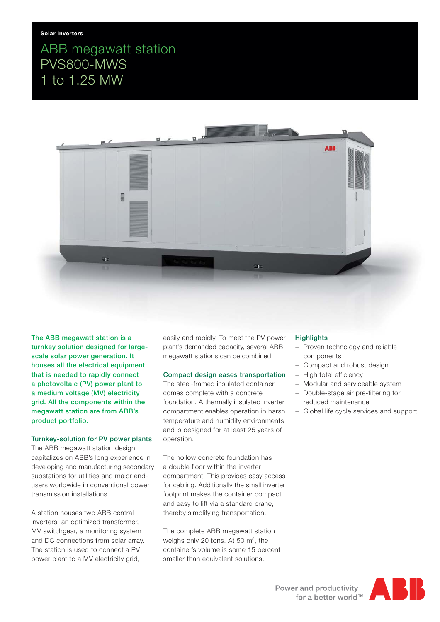# ABB megawatt station PVS800-MWS 1 to 1.25 MW



**The ABB megawatt station is a turnkey solution designed for largescale solar power generation. It houses all the electrical equipment that is needed to rapidly connect a photovoltaic (PV) power plant to a medium voltage (MV) electricity grid. All the components within the megawatt station are from ABB's product portfolio.**

## **Turnkey-solution for PV power plants**

The ABB megawatt station design capitalizes on ABB's long experience in developing and manufacturing secondary substations for utilities and major endusers worldwide in conventional power transmission installations.

A station houses two ABB central inverters, an optimized transformer, MV switchgear, a monitoring system and DC connections from solar array. The station is used to connect a PV power plant to a MV electricity grid,

easily and rapidly. To meet the PV power plant's demanded capacity, several ABB megawatt stations can be combined.

#### **Compact design eases transportation**

The steel-framed insulated container comes complete with a concrete foundation. A thermally insulated inverter compartment enables operation in harsh temperature and humidity environments and is designed for at least 25 years of operation.

The hollow concrete foundation has a double floor within the inverter compartment. This provides easy access for cabling. Additionally the small inverter footprint makes the container compact and easy to lift via a standard crane, thereby simplifying transportation.

The complete ABB megawatt station weighs only 20 tons. At 50 m<sup>3</sup>, the container's volume is some 15 percent smaller than equivalent solutions.

#### **Highlights**

- − Proven technology and reliable components
- − Compact and robust design
- − High total efficiency
- − Modular and serviceable system
- − Double-stage air pre-filtering for reduced maintenance
- − Global life cycle services and support

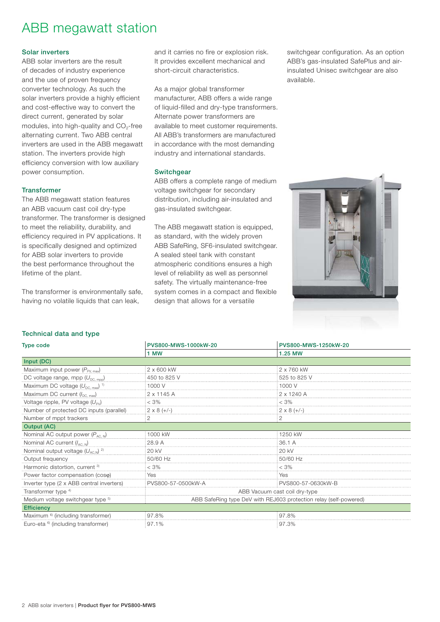# ABB megawatt station

### **Solar inverters**

ABB solar inverters are the result of decades of industry experience and the use of proven frequency converter technology. As such the solar inverters provide a highly efficient and cost-effective way to convert the direct current, generated by solar modules, into high-quality and  $CO<sub>2</sub>$ -free alternating current. Two ABB central inverters are used in the ABB megawatt station. The inverters provide high efficiency conversion with low auxiliary power consumption.

#### **Transformer**

The ABB megawatt station features an ABB vacuum cast coil dry-type transformer. The transformer is designed to meet the reliability, durability, and efficiency required in PV applications. It is specifically designed and optimized for ABB solar inverters to provide the best performance throughout the lifetime of the plant.

The transformer is environmentally safe, having no volatile liquids that can leak,

and it carries no fire or explosion risk. It provides excellent mechanical and short-circuit characteristics.

As a major global transformer manufacturer, ABB offers a wide range of liquid-filled and dry-type transformers. Alternate power transformers are available to meet customer requirements. All ABB's transformers are manufactured in accordance with the most demanding industry and international standards.

### **Switchgear**

ABB offers a complete range of medium voltage switchgear for secondary distribution, including air-insulated and gas-insulated switchgear.

The ABB megawatt station is equipped, as standard, with the widely proven ABB SafeRing, SF6-insulated switchgear. A sealed steel tank with constant atmospheric conditions ensures a high level of reliability as well as personnel safety. The virtually maintenance-free system comes in a compact and flexible design that allows for a versatile

switchgear configuration. As an option ABB's gas-insulated SafePlus and airinsulated Unisec switchgear are also available.



### **Technical data and type**

| <b>Type code</b>                                  | PVS800-MWS-1000kW-20                                              | PVS800-MWS-1250kW-20 |
|---------------------------------------------------|-------------------------------------------------------------------|----------------------|
|                                                   | 1 MW                                                              | 1.25 MW              |
| Input (DC)                                        |                                                                   |                      |
| Maximum input power $(P_{PV, max})$               | 2 x 600 kW                                                        | 2 x 760 kW           |
| DC voltage range, mpp $(U_{DC, mp}$               | 450 to 825 V                                                      | 525 to 825 V         |
| Maximum DC voltage $(U_{DC, max})$ <sup>1)</sup>  | 1000 V                                                            | 1000 V               |
| Maximum DC current $(l_{DC, max})$                | 2 x 1145 A                                                        | 2 x 1240 A           |
| Voltage ripple, PV voltage $(U_{PV})$             | < 3%                                                              | < 3%                 |
| Number of protected DC inputs (parallel)          | $2 \times 8 (+/-)$                                                | $2 \times 8 (+/-)$   |
| Number of mppt trackers                           | 2                                                                 | 2                    |
| <b>Output (AC)</b>                                |                                                                   |                      |
| Nominal AC output power $(P_{AC, N})$             | 1000 kW                                                           | 1250 kW              |
| Nominal AC current $(l_{AC,N})$                   | 28.9 A                                                            | 36.1 A               |
| Nominal output voltage $(U_{AC,N})$ <sup>2)</sup> | 20 kV                                                             | 20 kV                |
| Output frequency                                  | 50/60 Hz                                                          | 50/60 Hz             |
| Harmonic distortion, current <sup>3)</sup>        | $< 3\%$                                                           | $<$ 3%               |
| Power factor compensation (coso)                  | Yes                                                               | Yes                  |
| Inverter type (2 x ABB central inverters)         | PVS800-57-0500kW-A                                                | PVS800-57-0630kW-B   |
| Transformer type <sup>4)</sup>                    | ABB Vacuum cast coil dry-type                                     |                      |
| Medium voltage switchgear type 5)                 | ABB SafeRing type DeV with REJ603 protection relay (self-powered) |                      |
| <b>Efficiency</b>                                 |                                                                   |                      |
| Maximum <sup>6)</sup> (including transformer)     | 97.8%                                                             | 97.8%                |
| Euro-eta <sup>6</sup> (including transformer)     | 97.1%                                                             | 97.3%                |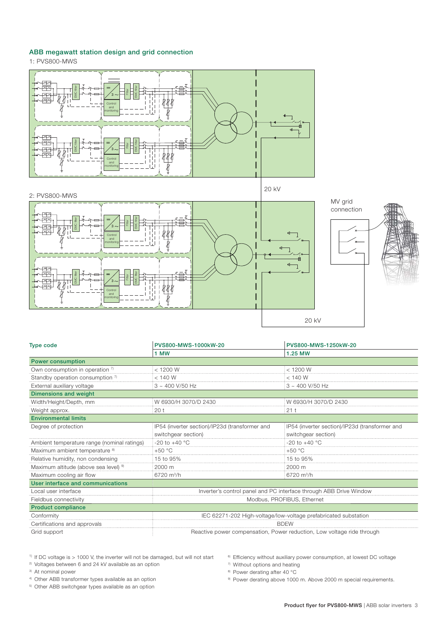## **ABB megawatt station design and grid connection**

1: PVS800-MWS



3 3 2: PVS800-MWS 20 kV **Control** and monitoring **Control** and monitoring **EMC** filter **EMC** filter Filter 20 kV



| <b>Type code</b>                                 | PVS800-MWS-1000kW-20                                                   | PVS800-MWS-1250kW-20                           |
|--------------------------------------------------|------------------------------------------------------------------------|------------------------------------------------|
|                                                  | 1 MW                                                                   | 1.25 MW                                        |
| <b>Power consumption</b>                         |                                                                        |                                                |
| Own consumption in operation 7)                  | $<$ 1200 W                                                             | < 1200 W                                       |
| Standby operation consumption 7)                 | < 140 W                                                                | $<$ 140 W                                      |
| External auxiliary voltage                       | $3 \sim 400$ V/50 Hz                                                   | $3 \sim 400$ V/50 Hz                           |
| Dimensions and weight                            |                                                                        |                                                |
| Width/Height/Depth, mm                           | W 6930/H 3070/D 2430                                                   | W 6930/H 3070/D 2430                           |
| Weight approx.                                   | 20 <sub>t</sub>                                                        | 21 <sub>1</sub>                                |
| <b>Environmental limits</b>                      |                                                                        |                                                |
| Degree of protection                             | IP54 (inverter section)/IP23d (transformer and                         | IP54 (inverter section)/IP23d (transformer and |
|                                                  | switchgear section)                                                    | switchgear section)                            |
| Ambient temperature range (nominal ratings)      | -20 to +40 $^{\circ}$ C                                                | $-20$ to $+40$ °C                              |
| Maximum ambient temperature <sup>8)</sup>        | $+50 °C$                                                               | $+50 °C$                                       |
| Relative humidity, non condensing                | 15 to 95%                                                              | 15 to 95%                                      |
| Maximum altitude (above sea level) <sup>9)</sup> | 2000 m                                                                 | 2000 m                                         |
| Maximum cooling air flow                         | $6720 \text{ m}^3/h$                                                   | $6720 \text{ m}^3/h$                           |
| User interface and communications                |                                                                        |                                                |
| Local user interface                             | Inverter's control panel and PC interface through ABB Drive Window     |                                                |
| Fieldbus connectivity                            | Modbus, PROFIBUS, Ethernet                                             |                                                |
| <b>Product compliance</b>                        |                                                                        |                                                |
| Conformity                                       | IEC 62271-202 High-voltage/low-voltage prefabricated substation        |                                                |
| Certifications and approvals                     | <b>BDEW</b>                                                            |                                                |
| Grid support                                     | Reactive power compensation, Power reduction, Low voltage ride through |                                                |

 $1)$  If DC voltage is  $> 1000$  V, the inverter will not be damaged, but will not start

2) Voltages between 6 and 24 kV available as an option

3) At nominal power

4) Other ABB transformer types available as an option

5) Other ABB switchgear types available as an option

6) Efficiency without auxiliary power consumption, at lowest DC voltage

7) Without options and heating

8) Power derating after 40 °C

9) Power derating above 1000 m. Above 2000 m special requirements.